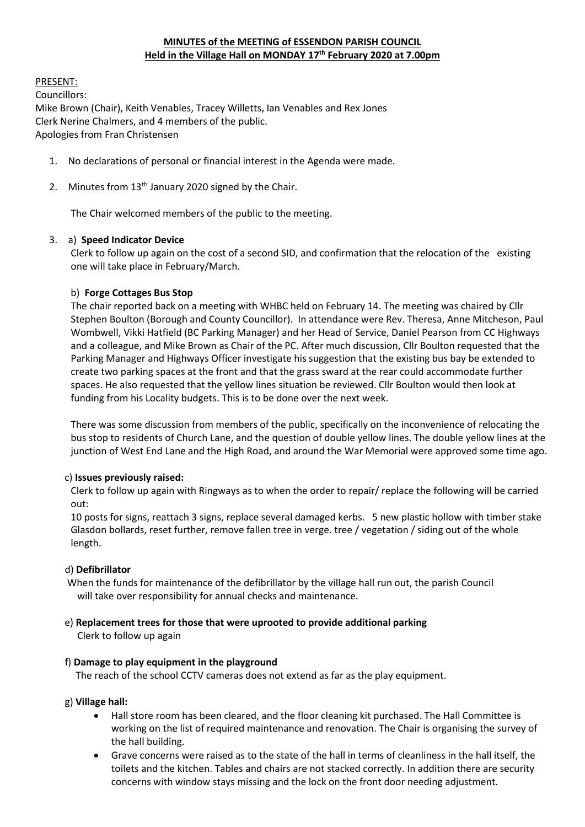# **MINUTES of the MEETING of ESSENDON PARISH COUNCIL Held in the Village Hall on MONDAY 17 th February 2020 at 7.00pm**

### PRESENT:

Councillors: Mike Brown (Chair), Keith Venables, Tracey Willetts, Ian Venables and Rex Jones Clerk Nerine Chalmers, and 4 members of the public. Apologies from Fran Christensen

- 1. No declarations of personal or financial interest in the Agenda were made.
- 2. Minutes from 13<sup>th</sup> January 2020 signed by the Chair.

The Chair welcomed members of the public to the meeting.

# 3.a) **Speed Indicator Device**

Clerk to follow up again on the cost of a second SID, and confirmation that the relocation of the existing one will take place in February/March.

# b) **Forge Cottages Bus Stop**

The chair reported back on a meeting with WHBC held on February 14. The meeting was chaired by Cllr Stephen Boulton (Borough and County Councillor). In attendance were Rev. Theresa, Anne Mitcheson, Paul Wombwell, Vikki Hatfield (BC Parking Manager) and her Head of Service, Daniel Pearson from CC Highways and a colleague, and Mike Brown as Chair of the PC. After much discussion, Cllr Boulton requested that the Parking Manager and Highways Officer investigate his suggestion that the existing bus bay be extended to create two parking spaces at the front and that the grass sward at the rear could accommodate further spaces. He also requested that the yellow lines situation be reviewed. Cllr Boulton would then look at funding from his Locality budgets. This is to be done over the next week.

There was some discussion from members of the public, specifically on the inconvenience of relocating the bus stop to residents of Church Lane, and the question of double yellow lines. The double yellow lines at the junction of West End Lane and the High Road, and around the War Memorial were approved some time ago.

# c) **Issues previously raised:**

Clerk to follow up again with Ringways as to when the order to repair/ replace the following will be carried out:

10 posts for signs, reattach 3 signs, replace several damaged kerbs. 5 new plastic hollow with timber stake Glasdon bollards, reset further, remove fallen tree in verge. tree / vegetation / siding out of the whole length.

# d) **Defibrillator**

When the funds for maintenance of the defibrillator by the village hall run out, the parish Council will take over responsibility for annual checks and maintenance.

# e) **Replacement trees for those that were uprooted to provide additional parking**

Clerk to follow up again

# f) **Damage to play equipment in the playground**

The reach of the school CCTV cameras does not extend as far as the play equipment.

# g) **Village hall:**

- Hall store room has been cleared, and the floor cleaning kit purchased. The Hall Committee is working on the list of required maintenance and renovation. The Chair is organising the survey of the hall building.
- Grave concerns were raised as to the state of the hall in terms of cleanliness in the hall itself, the toilets and the kitchen. Tables and chairs are not stacked correctly. In addition there are security concerns with window stays missing and the lock on the front door needing adjustment.